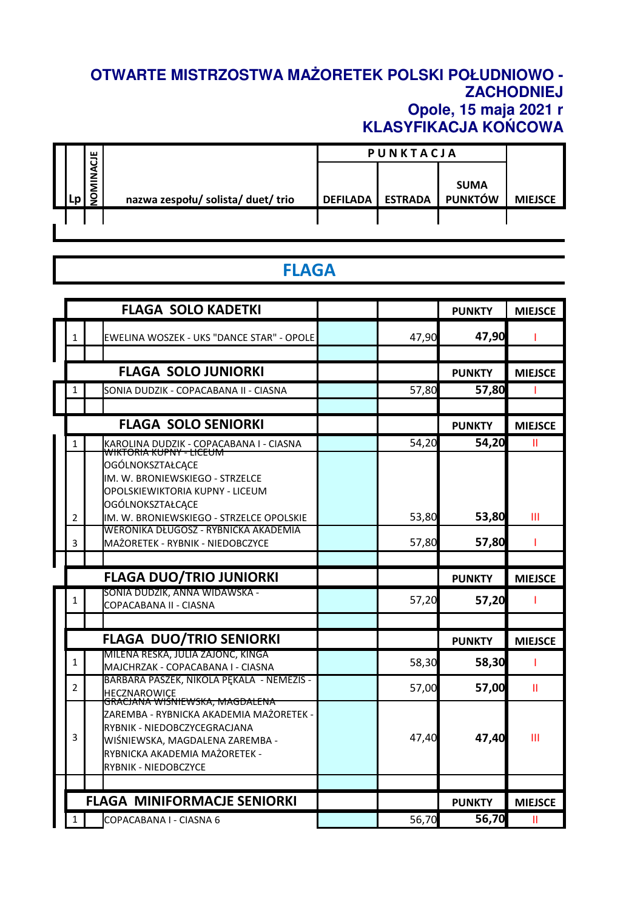## **OTWARTE MISTRZOSTWA MAŻORETEK POLSKI POŁUDNIOWO - ZACHODNIEJ Opole, 15 maja 2021 r KLASYFIKACJA KOŃCOWA**

|    | ш                |                                    | <b>PUNKTACJA</b> |                |                |                |
|----|------------------|------------------------------------|------------------|----------------|----------------|----------------|
|    | ن<br><b>MINA</b> |                                    |                  |                | <b>SUMA</b>    |                |
| ۰n | 9                | nazwa zespołu/ solista/ duet/ trio | <b>DEFILADA</b>  | <b>ESTRADA</b> | <b>PUNKTÓW</b> | <b>MIEJSCE</b> |
|    |                  |                                    |                  |                |                |                |
|    |                  |                                    |                  |                |                |                |

## **FLAGA**

|                | <b>FLAGA SOLO KADETKI</b>                                                                                                                                                      |       | <b>PUNKTY</b>          | <b>MIEJSCE</b> |
|----------------|--------------------------------------------------------------------------------------------------------------------------------------------------------------------------------|-------|------------------------|----------------|
| 1              | EWELINA WOSZEK - UKS "DANCE STAR" - OPOLE                                                                                                                                      | 47,90 | 47,90                  |                |
|                |                                                                                                                                                                                |       |                        |                |
|                | <b>FLAGA SOLO JUNIORKI</b>                                                                                                                                                     |       | <b>PUNKTY</b>          | <b>MIEJSCE</b> |
| 1              | SONIA DUDZIK - COPACABANA II - CIASNA                                                                                                                                          | 57,80 | 57,80                  |                |
|                |                                                                                                                                                                                |       |                        |                |
|                | <b>FLAGA SOLO SENIORKI</b>                                                                                                                                                     |       | <b>PUNKTY</b>          | <b>MIEJSCE</b> |
| 1              | KAROLINA DUDZIK - COPACABANA I - CIASNA<br><del>WIKTORIA KUPNY - LICEUM</del>                                                                                                  | 54,20 | 54,20                  | Ш              |
|                | OGÓLNOKSZTAŁCĄCE                                                                                                                                                               |       |                        |                |
|                | IM. W. BRONIEWSKIEGO - STRZELCE                                                                                                                                                |       |                        |                |
|                | OPOLSKIEWIKTORIA KUPNY - LICEUM                                                                                                                                                |       |                        |                |
| $\overline{2}$ | OGÓLNOKSZTAŁCĄCE<br>IM. W. BRONIEWSKIEGO - STRZELCE OPOLSKIE                                                                                                                   | 53,80 | 53,80                  | Ш              |
|                | WERONIKA DŁUGOSZ - RYBNICKA AKADEMIA                                                                                                                                           |       |                        |                |
| 3              | MAŻORETEK - RYBNIK - NIEDOBCZYCE                                                                                                                                               | 57,80 | 57,80                  |                |
|                |                                                                                                                                                                                |       |                        |                |
|                |                                                                                                                                                                                |       |                        |                |
|                | <b>FLAGA DUO/TRIO JUNIORKI</b>                                                                                                                                                 |       | <b>PUNKTY</b>          | <b>MIEJSCE</b> |
| 1              | SONIA DUDZIK, ANNA WIDAWSKA -<br>COPACABANA II - CIASNA                                                                                                                        | 57,20 | 57,20                  |                |
|                |                                                                                                                                                                                |       |                        |                |
|                | <b>FLAGA DUO/TRIO SENIORKI</b>                                                                                                                                                 |       | <b>PUNKTY</b>          | <b>MIEJSCE</b> |
| $\mathbf{1}$   | MILENA RESKA, JULIA ZAJONC, KINGA<br>MAJCHRZAK - COPACABANA I - CIASNA                                                                                                         | 58,30 | 58,30                  |                |
| 2              | BARBARA PASZEK, NIKOLA PĘKALA - NEMEZIS -                                                                                                                                      | 57,00 | 57,00                  | Ш              |
| 3              | <b>HECZNAROWICE</b><br><del>GRACJANA WISNIEWSKA, MAGDALENA</del><br>ZAREMBA - RYBNICKA AKADEMIA MAŻORETEK -<br>RYBNIK - NIEDOBCZYCEGRACJANA<br>WIŚNIEWSKA, MAGDALENA ZAREMBA - | 47,40 | 47,40                  | Ш              |
|                | RYBNICKA AKADEMIA MAŻORETEK -<br>RYBNIK - NIEDOBCZYCE                                                                                                                          |       |                        |                |
|                |                                                                                                                                                                                |       |                        |                |
|                | <b>FLAGA MINIFORMACJE SENIORKI</b>                                                                                                                                             | 56,70 | <b>PUNKTY</b><br>56,70 | <b>MIEJSCE</b> |